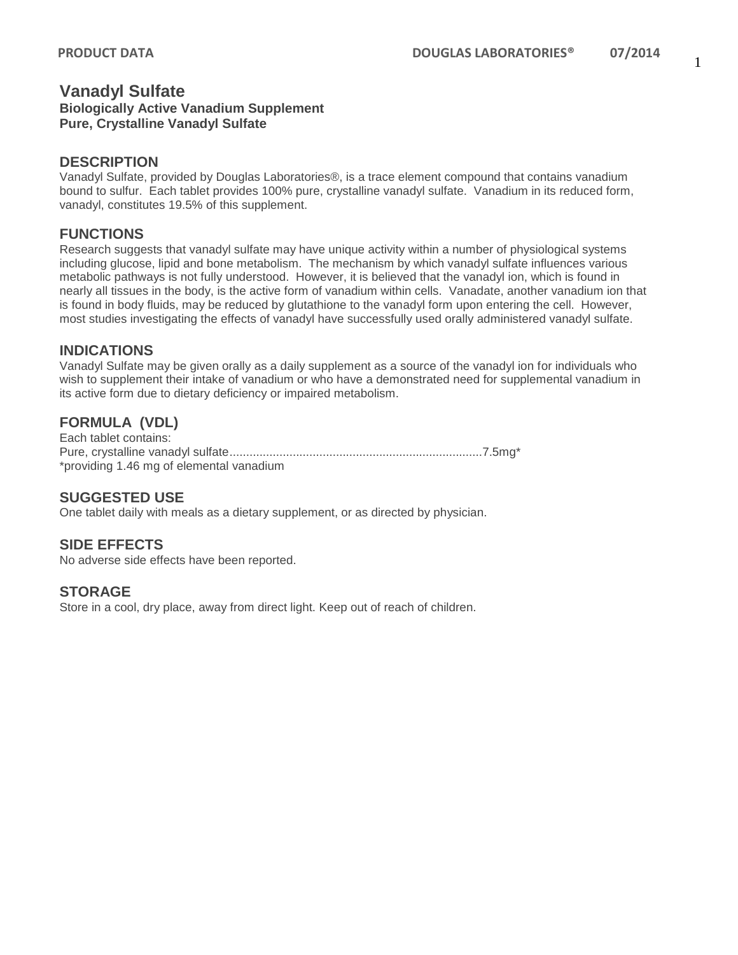# **Vanadyl Sulfate**

**Biologically Active Vanadium Supplement Pure, Crystalline Vanadyl Sulfate**

#### **DESCRIPTION**

Vanadyl Sulfate, provided by Douglas Laboratories®, is a trace element compound that contains vanadium bound to sulfur. Each tablet provides 100% pure, crystalline vanadyl sulfate. Vanadium in its reduced form, vanadyl, constitutes 19.5% of this supplement.

## **FUNCTIONS**

Research suggests that vanadyl sulfate may have unique activity within a number of physiological systems including glucose, lipid and bone metabolism. The mechanism by which vanadyl sulfate influences various metabolic pathways is not fully understood. However, it is believed that the vanadyl ion, which is found in nearly all tissues in the body, is the active form of vanadium within cells. Vanadate, another vanadium ion that is found in body fluids, may be reduced by glutathione to the vanadyl form upon entering the cell. However, most studies investigating the effects of vanadyl have successfully used orally administered vanadyl sulfate.

### **INDICATIONS**

Vanadyl Sulfate may be given orally as a daily supplement as a source of the vanadyl ion for individuals who wish to supplement their intake of vanadium or who have a demonstrated need for supplemental vanadium in its active form due to dietary deficiency or impaired metabolism.

## **FORMULA (VDL)**

Each tablet contains: Pure, crystalline vanadyl sulfate............................................................................7.5mg\* \*providing 1.46 mg of elemental vanadium

#### **SUGGESTED USE**

One tablet daily with meals as a dietary supplement, or as directed by physician.

## **SIDE EFFECTS**

No adverse side effects have been reported.

#### **STORAGE**

Store in a cool, dry place, away from direct light. Keep out of reach of children.